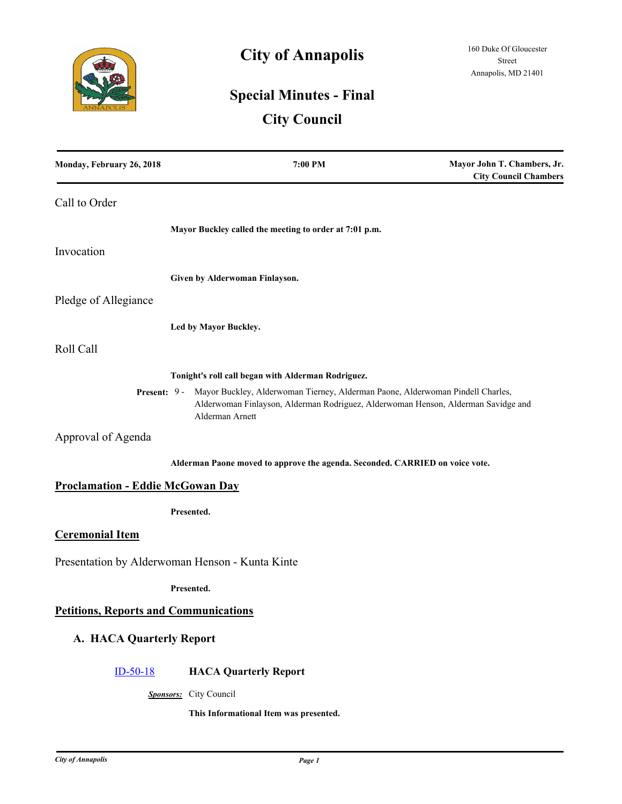

# **City of Annapolis**

# **Special Minutes - Final**

# **City Council**

| Monday, February 26, 2018                       | 7:00 PM                                                                                                                                                                                             | Mayor John T. Chambers, Jr.<br><b>City Council Chambers</b> |
|-------------------------------------------------|-----------------------------------------------------------------------------------------------------------------------------------------------------------------------------------------------------|-------------------------------------------------------------|
| Call to Order                                   |                                                                                                                                                                                                     |                                                             |
|                                                 | Mayor Buckley called the meeting to order at 7:01 p.m.                                                                                                                                              |                                                             |
| Invocation                                      |                                                                                                                                                                                                     |                                                             |
|                                                 | Given by Alderwoman Finlayson.                                                                                                                                                                      |                                                             |
| Pledge of Allegiance                            |                                                                                                                                                                                                     |                                                             |
|                                                 | Led by Mayor Buckley.                                                                                                                                                                               |                                                             |
| Roll Call                                       |                                                                                                                                                                                                     |                                                             |
|                                                 | Tonight's roll call began with Alderman Rodriguez.                                                                                                                                                  |                                                             |
|                                                 | Present: 9 - Mayor Buckley, Alderwoman Tierney, Alderman Paone, Alderwoman Pindell Charles,<br>Alderwoman Finlayson, Alderman Rodriguez, Alderwoman Henson, Alderman Savidge and<br>Alderman Arnett |                                                             |
| Approval of Agenda                              |                                                                                                                                                                                                     |                                                             |
|                                                 | Alderman Paone moved to approve the agenda. Seconded. CARRIED on voice vote.                                                                                                                        |                                                             |
| <b>Proclamation - Eddie McGowan Day</b>         |                                                                                                                                                                                                     |                                                             |
|                                                 | Presented.                                                                                                                                                                                          |                                                             |
| <b>Ceremonial Item</b>                          |                                                                                                                                                                                                     |                                                             |
| Presentation by Alderwoman Henson - Kunta Kinte |                                                                                                                                                                                                     |                                                             |
|                                                 | Presented.                                                                                                                                                                                          |                                                             |
| <b>Petitions, Reports and Communications</b>    |                                                                                                                                                                                                     |                                                             |
| A. HACA Quarterly Report                        |                                                                                                                                                                                                     |                                                             |
| $ID-50-18$                                      | <b>HACA Quarterly Report</b>                                                                                                                                                                        |                                                             |
|                                                 | Sponsors: City Council                                                                                                                                                                              |                                                             |
|                                                 | This Informational Item was presented.                                                                                                                                                              |                                                             |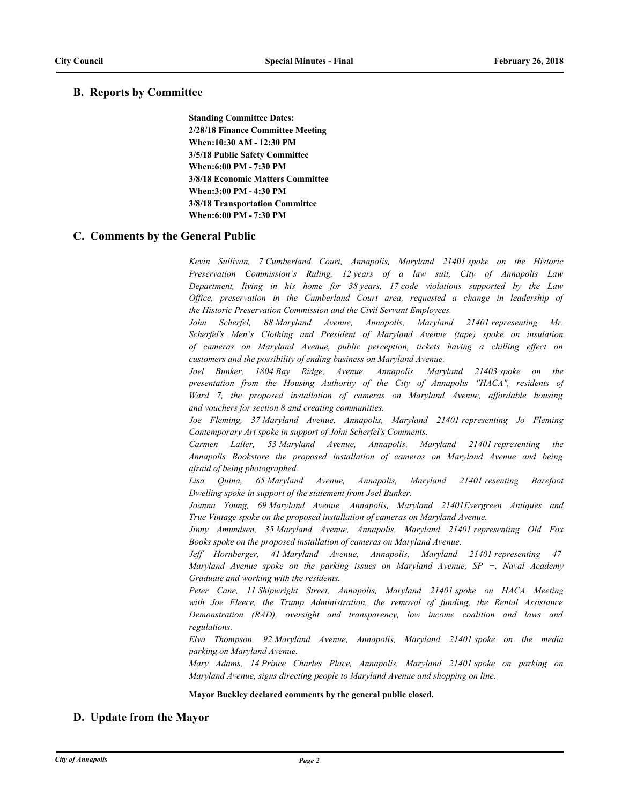# **B. Reports by Committee**

**Standing Committee Dates: 2/28/18 Finance Committee Meeting When:10:30 AM - 12:30 PM 3/5/18 Public Safety Committee When:6:00 PM - 7:30 PM 3/8/18 Economic Matters Committee When:3:00 PM - 4:30 PM 3/8/18 Transportation Committee When:6:00 PM - 7:30 PM**

## **C. Comments by the General Public**

*Kevin Sullivan, 7 Cumberland Court, Annapolis, Maryland 21401 spoke on the Historic Preservation Commission's Ruling, 12 years of a law suit, City of Annapolis Law Department, living in his home for 38 years, 17 code violations supported by the Law Office, preservation in the Cumberland Court area, requested a change in leadership of the Historic Preservation Commission and the Civil Servant Employees.*

*John Scherfel, 88 Maryland Avenue, Annapolis, Maryland 21401 representing Mr. Scherfel's Men's Clothing and President of Maryland Avenue (tape) spoke on insulation of cameras on Maryland Avenue, public perception, tickets having a chilling effect on customers and the possibility of ending business on Maryland Avenue.* 

*Joel Bunker, 1804 Bay Ridge, Avenue, Annapolis, Maryland 21403 spoke on the presentation from the Housing Authority of the City of Annapolis "HACA", residents of Ward 7, the proposed installation of cameras on Maryland Avenue, affordable housing and vouchers for section 8 and creating communities.* 

Joe Fleming, 37 Maryland Avenue, Annapolis, Maryland 21401 representing Jo Fleming *Contemporary Art spoke in support of John Scherfel's Comments.*

*Carmen Laller, 53 Maryland Avenue, Annapolis, Maryland 21401 representing the Annapolis Bookstore the proposed installation of cameras on Maryland Avenue and being afraid of being photographed.*

*Lisa Quina, 65 Maryland Avenue, Annapolis, Maryland 21401 resenting Barefoot Dwelling spoke in support of the statement from Joel Bunker.*

*Joanna Young, 69 Maryland Avenue, Annapolis, Maryland 21401Evergreen Antiques and True Vintage spoke on the proposed installation of cameras on Maryland Avenue.*

*Jinny Amundsen, 35 Maryland Avenue, Annapolis, Maryland 21401 representing Old Fox Books spoke on the proposed installation of cameras on Maryland Avenue.*

*Jeff Hornberger, 41 Maryland Avenue, Annapolis, Maryland 21401 representing 47 Maryland Avenue spoke on the parking issues on Maryland Avenue, SP +, Naval Academy Graduate and working with the residents.* 

*Peter Cane, 11 Shipwright Street, Annapolis, Maryland 21401 spoke on HACA Meeting with Joe Fleece, the Trump Administration, the removal of funding, the Rental Assistance Demonstration (RAD), oversight and transparency, low income coalition and laws and regulations.*

*Elva Thompson, 92 Maryland Avenue, Annapolis, Maryland 21401 spoke on the media parking on Maryland Avenue.*

*Mary Adams, 14 Prince Charles Place, Annapolis, Maryland 21401 spoke on parking on Maryland Avenue, signs directing people to Maryland Avenue and shopping on line.*

#### **Mayor Buckley declared comments by the general public closed.**

# **D. Update from the Mayor**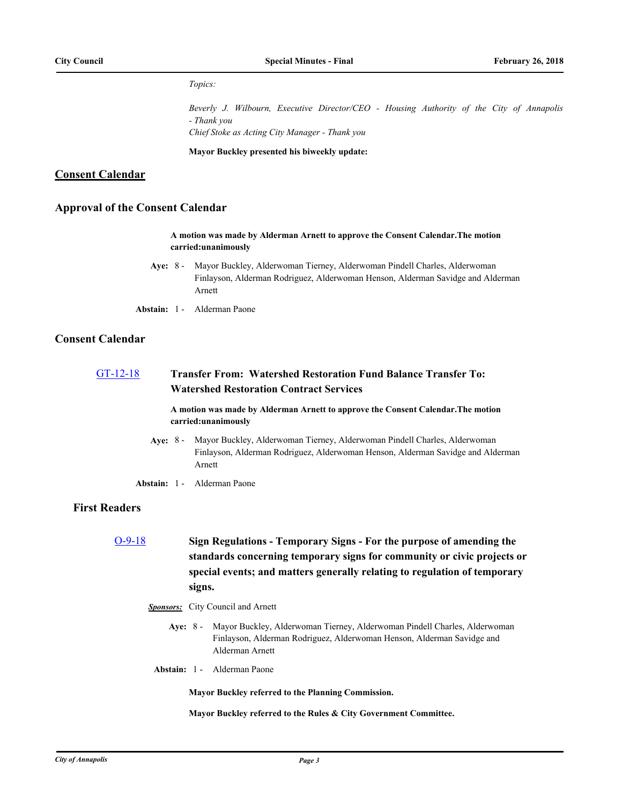#### *Topics:*

*Beverly J. Wilbourn, Executive Director/CEO - Housing Authority of the City of Annapolis - Thank you Chief Stoke as Acting City Manager - Thank you*

**Mayor Buckley presented his biweekly update:**

## **Consent Calendar**

## **Approval of the Consent Calendar**

#### **A motion was made by Alderman Arnett to approve the Consent Calendar.The motion carried:unanimously**

- **Aye:** Mayor Buckley, Alderwoman Tierney, Alderwoman Pindell Charles, Alderwoman Finlayson, Alderman Rodriguez, Alderwoman Henson, Alderman Savidge and Alderman Arnett Ave:  $8 -$
- **Abstain:** 1 Alderman Paone

## **Consent Calendar**

# [GT-12-18](http://annapolismd.legistar.com/gateway.aspx?m=l&id=/matter.aspx?key=3528) **Transfer From: Watershed Restoration Fund Balance Transfer To: Watershed Restoration Contract Services**

**A motion was made by Alderman Arnett to approve the Consent Calendar.The motion carried:unanimously**

- **Aye:** Mayor Buckley, Alderwoman Tierney, Alderwoman Pindell Charles, Alderwoman Finlayson, Alderman Rodriguez, Alderwoman Henson, Alderman Savidge and Alderman Arnett Aye: 8 -
- **Abstain:** 1 Alderman Paone

# **First Readers**

- [O-9-18](http://annapolismd.legistar.com/gateway.aspx?m=l&id=/matter.aspx?key=3511) **Sign Regulations Temporary Signs For the purpose of amending the standards concerning temporary signs for community or civic projects or special events; and matters generally relating to regulation of temporary signs.**
	- *Sponsors:* City Council and Arnett
		- Aye: 8 Mayor Buckley, Alderwoman Tierney, Alderwoman Pindell Charles, Alderwoman Finlayson, Alderman Rodriguez, Alderwoman Henson, Alderman Savidge and Alderman Arnett
		- **Abstain:** 1 Alderman Paone

**Mayor Buckley referred to the Planning Commission.**

**Mayor Buckley referred to the Rules & City Government Committee.**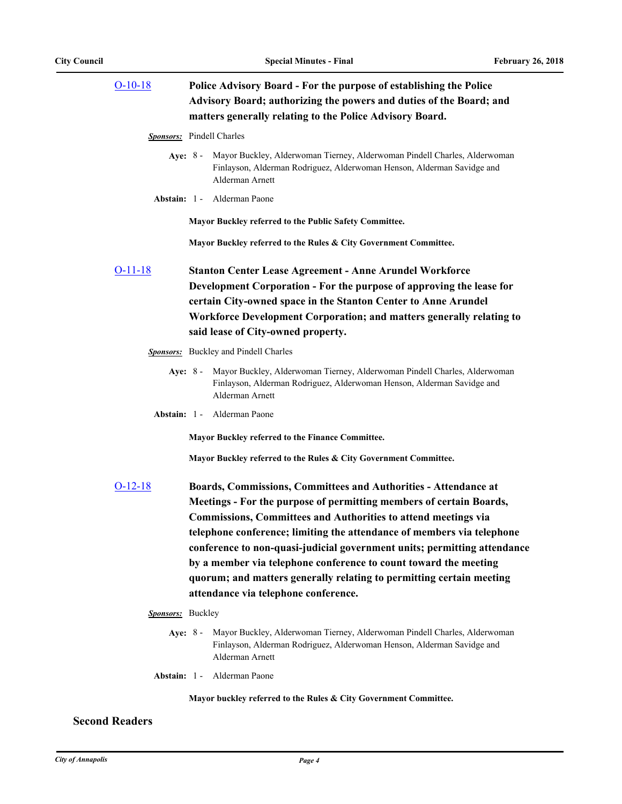| $O-10-18$         | Police Advisory Board - For the purpose of establishing the Police<br>Advisory Board; authorizing the powers and duties of the Board; and<br>matters generally relating to the Police Advisory Board.                                                                                                                                                                                                                                                                                                                                                     |
|-------------------|-----------------------------------------------------------------------------------------------------------------------------------------------------------------------------------------------------------------------------------------------------------------------------------------------------------------------------------------------------------------------------------------------------------------------------------------------------------------------------------------------------------------------------------------------------------|
|                   | <b>Sponsors:</b> Pindell Charles                                                                                                                                                                                                                                                                                                                                                                                                                                                                                                                          |
| Ave: $8-$         | Mayor Buckley, Alderwoman Tierney, Alderwoman Pindell Charles, Alderwoman<br>Finlayson, Alderman Rodriguez, Alderwoman Henson, Alderman Savidge and<br>Alderman Arnett                                                                                                                                                                                                                                                                                                                                                                                    |
|                   | Abstain: 1 - Alderman Paone                                                                                                                                                                                                                                                                                                                                                                                                                                                                                                                               |
|                   | Mayor Buckley referred to the Public Safety Committee.                                                                                                                                                                                                                                                                                                                                                                                                                                                                                                    |
|                   | Mayor Buckley referred to the Rules & City Government Committee.                                                                                                                                                                                                                                                                                                                                                                                                                                                                                          |
| O-11-18           | <b>Stanton Center Lease Agreement - Anne Arundel Workforce</b><br>Development Corporation - For the purpose of approving the lease for<br>certain City-owned space in the Stanton Center to Anne Arundel<br>Workforce Development Corporation; and matters generally relating to<br>said lease of City-owned property.                                                                                                                                                                                                                                    |
|                   | Sponsors: Buckley and Pindell Charles                                                                                                                                                                                                                                                                                                                                                                                                                                                                                                                     |
| Ave: $8-$         | Mayor Buckley, Alderwoman Tierney, Alderwoman Pindell Charles, Alderwoman<br>Finlayson, Alderman Rodriguez, Alderwoman Henson, Alderman Savidge and<br>Alderman Arnett                                                                                                                                                                                                                                                                                                                                                                                    |
|                   | Abstain: 1 - Alderman Paone                                                                                                                                                                                                                                                                                                                                                                                                                                                                                                                               |
|                   | Mayor Buckley referred to the Finance Committee.                                                                                                                                                                                                                                                                                                                                                                                                                                                                                                          |
|                   | Mayor Buckley referred to the Rules & City Government Committee.                                                                                                                                                                                                                                                                                                                                                                                                                                                                                          |
| $O-12-18$         | Boards, Commissions, Committees and Authorities - Attendance at<br>Meetings - For the purpose of permitting members of certain Boards,<br><b>Commissions, Committees and Authorities to attend meetings via</b><br>telephone conference; limiting the attendance of members via telephone<br>conference to non-quasi-judicial government units; permitting attendance<br>by a member via telephone conference to count toward the meeting<br>quorum; and matters generally relating to permitting certain meeting<br>attendance via telephone conference. |
| Sponsors: Buckley |                                                                                                                                                                                                                                                                                                                                                                                                                                                                                                                                                           |
| Aye: $8 -$        | Mayor Buckley, Alderwoman Tierney, Alderwoman Pindell Charles, Alderwoman                                                                                                                                                                                                                                                                                                                                                                                                                                                                                 |

- Finlayson, Alderman Rodriguez, Alderwoman Henson, Alderman Savidge and Alderman Arnett
- **Abstain:** 1 Alderman Paone

**Mayor buckley referred to the Rules & City Government Committee.**

# **Second Readers**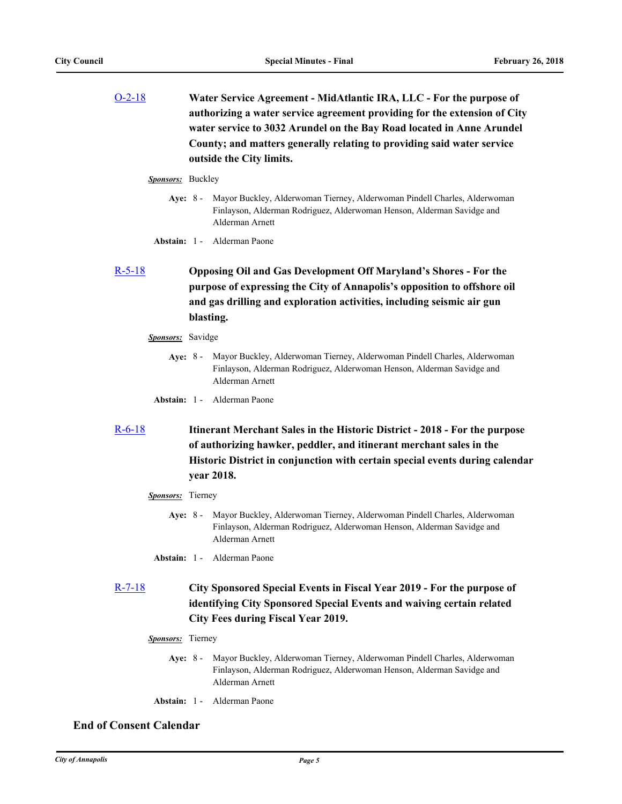[O-2-18](http://annapolismd.legistar.com/gateway.aspx?m=l&id=/matter.aspx?key=3437) **Water Service Agreement - MidAtlantic IRA, LLC - For the purpose of authorizing a water service agreement providing for the extension of City water service to 3032 Arundel on the Bay Road located in Anne Arundel County; and matters generally relating to providing said water service outside the City limits.**

#### *Sponsors:* Buckley

- Aye: 8 Mayor Buckley, Alderwoman Tierney, Alderwoman Pindell Charles, Alderwoman Finlayson, Alderman Rodriguez, Alderwoman Henson, Alderman Savidge and Alderman Arnett
- **Abstain:** 1 Alderman Paone

# [R-5-18](http://annapolismd.legistar.com/gateway.aspx?m=l&id=/matter.aspx?key=3489) **Opposing Oil and Gas Development Off Maryland's Shores - For the purpose of expressing the City of Annapolis's opposition to offshore oil and gas drilling and exploration activities, including seismic air gun blasting.**

#### *Sponsors:* Savidge

- **Aye:** Mayor Buckley, Alderwoman Tierney, Alderwoman Pindell Charles, Alderwoman Finlayson, Alderman Rodriguez, Alderwoman Henson, Alderman Savidge and Alderman Arnett Aye: 8 -
- **Abstain:** 1 Alderman Paone

# [R-6-18](http://annapolismd.legistar.com/gateway.aspx?m=l&id=/matter.aspx?key=3497) **Itinerant Merchant Sales in the Historic District - 2018 - For the purpose of authorizing hawker, peddler, and itinerant merchant sales in the Historic District in conjunction with certain special events during calendar year 2018.**

#### *Sponsors:* Tierney

- **Aye:** Mayor Buckley, Alderwoman Tierney, Alderwoman Pindell Charles, Alderwoman Finlayson, Alderman Rodriguez, Alderwoman Henson, Alderman Savidge and Alderman Arnett Aye: 8 -
- **Abstain:** 1 Alderman Paone

# [R-7-18](http://annapolismd.legistar.com/gateway.aspx?m=l&id=/matter.aspx?key=3498) **City Sponsored Special Events in Fiscal Year 2019 - For the purpose of identifying City Sponsored Special Events and waiving certain related City Fees during Fiscal Year 2019.**

- *Sponsors:* Tierney
	- Aye: 8 Mayor Buckley, Alderwoman Tierney, Alderwoman Pindell Charles, Alderwoman Finlayson, Alderman Rodriguez, Alderwoman Henson, Alderman Savidge and Alderman Arnett
	- **Abstain:** 1 Alderman Paone

# **End of Consent Calendar**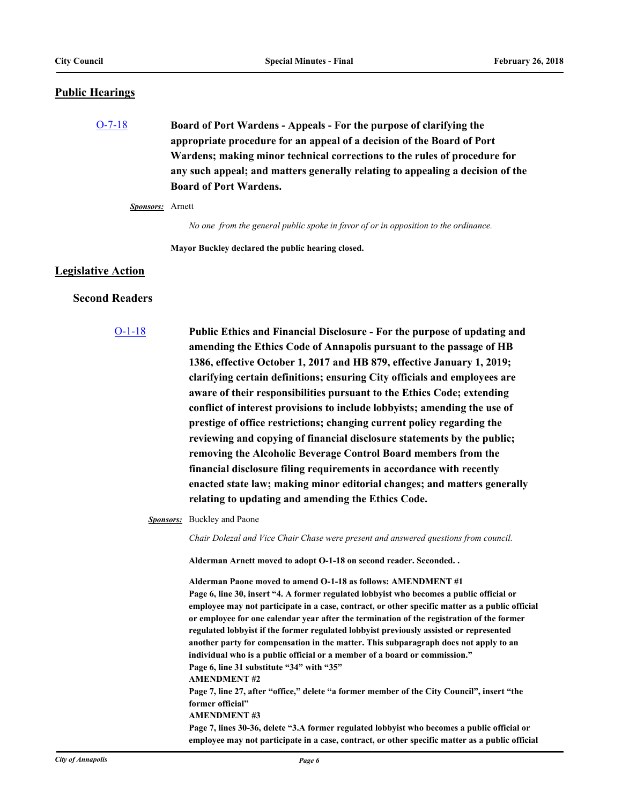## **Public Hearings**

[O-7-18](http://annapolismd.legistar.com/gateway.aspx?m=l&id=/matter.aspx?key=3507) **Board of Port Wardens - Appeals - For the purpose of clarifying the appropriate procedure for an appeal of a decision of the Board of Port Wardens; making minor technical corrections to the rules of procedure for any such appeal; and matters generally relating to appealing a decision of the Board of Port Wardens.**

## *Sponsors:* Arnett

*No one from the general public spoke in favor of or in opposition to the ordinance.*

**Mayor Buckley declared the public hearing closed.**

### **Legislative Action**

## **Second Readers**

[O-1-18](http://annapolismd.legistar.com/gateway.aspx?m=l&id=/matter.aspx?key=3453) **Public Ethics and Financial Disclosure - For the purpose of updating and amending the Ethics Code of Annapolis pursuant to the passage of HB 1386, effective October 1, 2017 and HB 879, effective January 1, 2019; clarifying certain definitions; ensuring City officials and employees are aware of their responsibilities pursuant to the Ethics Code; extending conflict of interest provisions to include lobbyists; amending the use of prestige of office restrictions; changing current policy regarding the reviewing and copying of financial disclosure statements by the public; removing the Alcoholic Beverage Control Board members from the financial disclosure filing requirements in accordance with recently enacted state law; making minor editorial changes; and matters generally relating to updating and amending the Ethics Code.**

*Sponsors:* Buckley and Paone

*Chair Dolezal and Vice Chair Chase were present and answered questions from council.*

**Alderman Arnett moved to adopt O-1-18 on second reader. Seconded. .**

**Alderman Paone moved to amend O-1-18 as follows: AMENDMENT #1 Page 6, line 30, insert "4. A former regulated lobbyist who becomes a public official or employee may not participate in a case, contract, or other specific matter as a public official or employee for one calendar year after the termination of the registration of the former regulated lobbyist if the former regulated lobbyist previously assisted or represented another party for compensation in the matter. This subparagraph does not apply to an individual who is a public official or a member of a board or commission." Page 6, line 31 substitute "34" with "35" AMENDMENT #2 Page 7, line 27, after "office," delete "a former member of the City Council", insert "the former official" AMENDMENT #3 Page 7, lines 30-36, delete "3.A former regulated lobbyist who becomes a public official or employee may not participate in a case, contract, or other specific matter as a public official**